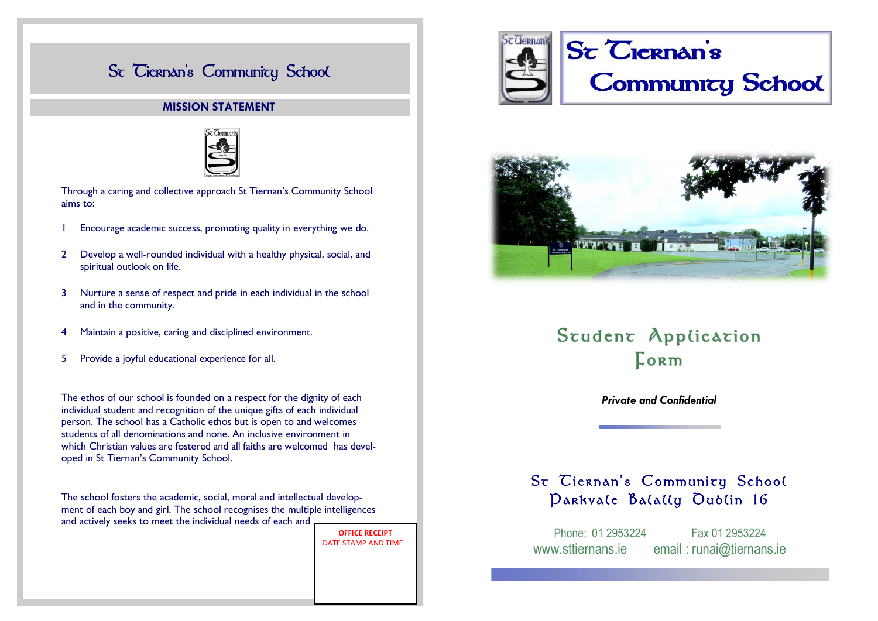# St Ciernan's Community School

### **MISSION STATEMENT**



Through a caring and collective approach St Tiernan's Community School aims to:

- 1 Encourage academic success, promoting quality in everything we do.
- 2 Develop a well-rounded individual with a healthy physical, social, and spiritual outlook on life.
- 3 Nurture a sense of respect and pride in each individual in the school and in the community.
- 4 Maintain a positive, caring and disciplined environment.
- 5 Provide a joyful educational experience for all.

The ethos of our school is founded on a respect for the dignity of each individual student and recognition of the unique gifts of each individual person. The school has a Catholic ethos but is open to and welcomes students of all denominations and none. An inclusive environment in which Christian values are fostered and all faiths are welcomed has developed in St Tiernan's Community School.

The school fosters the academic, social, moral and intellectual development of each boy and girl. The school recognises the multiple intelligences and actively seeks to meet the individual needs of each and

> **OFFICE RECEIPT**  DATE STAMP AND TIME





# Student Application Lorm

*Private and Confidential*

# St Ciernan's Community School Darkvale Balally Oublin 16

Phone: 01 2953224 Fax 01 2953224 www.sttiernans.ie email : runai@tiernans.ie